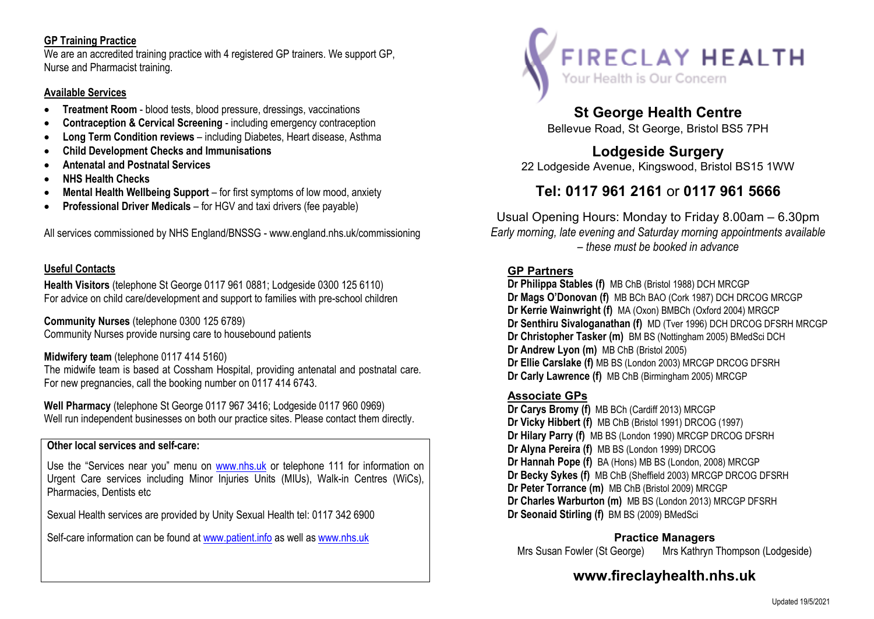### **GP Training Practice**

 We are an accredited training practice with 4 registered GP trainers. We support GP, Nurse and Pharmacist training.

#### **Available Services**

- . **Treatment Room** - blood tests, blood pressure, dressings, vaccinations
- . **Contraception & Cervical Screening** - including emergency contraception
- $\bullet$ **Long Term Condition reviews** – including Diabetes, Heart disease, Asthma
- $\bullet$ **Child Development Checks and Immunisations**
- . **Antenatal and Postnatal Services**
- $\bullet$ **NHS Health Checks**
- $\bullet$ **Mental Health Wellbeing Support** – for first symptoms of low mood, anxiety
- $\bullet$ **Professional Driver Medicals** – for HGV and taxi drivers (fee payable)

All services commissioned by NHS England/BNSSG - www.england.nhs.uk/commissioning

### **Useful Contacts**

**Health Visitors** (telephone St George 0117 961 0881; Lodgeside 0300 125 6110)For advice on child care/development and support to families with pre-school children

**Community Nurses** (telephone 0300 125 6789)Community Nurses provide nursing care to housebound patients

### **Midwifery team** (telephone 0117 414 5160)

 The midwife team is based at Cossham Hospital, providing antenatal and postnatal care. For new pregnancies, call the booking number on 0117 414 6743.

**Well Pharmacy** (telephone St George 0117 967 3416; Lodgeside 0117 960 0969)Well run independent businesses on both our practice sites. Please contact them directly.

### **Other local services and self-care:**

Use the "Services near you" menu on www.nhs.uk or telephone 111 for information on Urgent Care services including Minor Injuries Units (MIUs), Walk-in Centres (WiCs), Pharmacies, Dentists etc

Sexual Health services are provided by Unity Sexual Health tel: 0117 342 6900

Self-care information can be found at www.patient.info as well as www.nhs.uk



# **St George Health Centre**

Bellevue Road, St George, Bristol BS5 7PH

## **Lodgeside Surgery**

22 Lodgeside Avenue, Kingswood, Bristol BS15 1WW

# **Tel: 0117 961 2161** or **0117 961 5666**

Usual Opening Hours: Monday to Friday 8.00am – 6.30pm *Early morning, late evening and Saturday morning appointments available – these must be booked in advance*

### **GP Partners**

 **Dr Philippa Stables (f)** MB ChB (Bristol 1988) DCH MRCGP **Dr Mags O'Donovan (f)** MB BCh BAO (Cork 1987) DCH DRCOG MRCGP **Dr Kerrie Wainwright (f)** MA (Oxon) BMBCh (Oxford 2004) MRGCP **Dr Senthiru Sivaloganathan (f)** MD (Tver 1996) DCH DRCOG DFSRH MRCGP **Dr Christopher Tasker (m)** BM BS (Nottingham 2005) BMedSci DCH**Dr Andrew Lyon (m)** MB ChB (Bristol 2005) **Dr Ellie Carslake (f)** MB BS (London 2003) MRCGP DRCOG DFSRH **Dr Carly Lawrence (f)** MB ChB (Birmingham 2005) MRCGP

## **Associate GPs**

 **Dr Carys Bromy (f)** MB BCh (Cardiff 2013) MRCGP **Dr Vicky Hibbert (f)** MB ChB (Bristol 1991) DRCOG (1997) **Dr Hilary Parry (f)** MB BS (London 1990) MRCGP DRCOG DFSRH**Dr Alyna Pereira (f)** MB BS (London 1999) DRCOG **Dr Hannah Pope (f)** BA (Hons) MB BS (London, 2008) MRCGP **Dr Becky Sykes (f)** MB ChB (Sheffield 2003) MRCGP DRCOG DFSRH **Dr Peter Torrance (m)** MB ChB (Bristol 2009) MRCGP **Dr Charles Warburton (m)** MB BS (London 2013) MRCGP DFSRH **Dr Seonaid Stirling (f)** BM BS (2009) BMedSci

## **Practice Managers**

Mrs Susan Fowler (St George) Mrs Kathryn Thompson (Lodgeside)

# **www.fireclayhealth.nhs.uk**